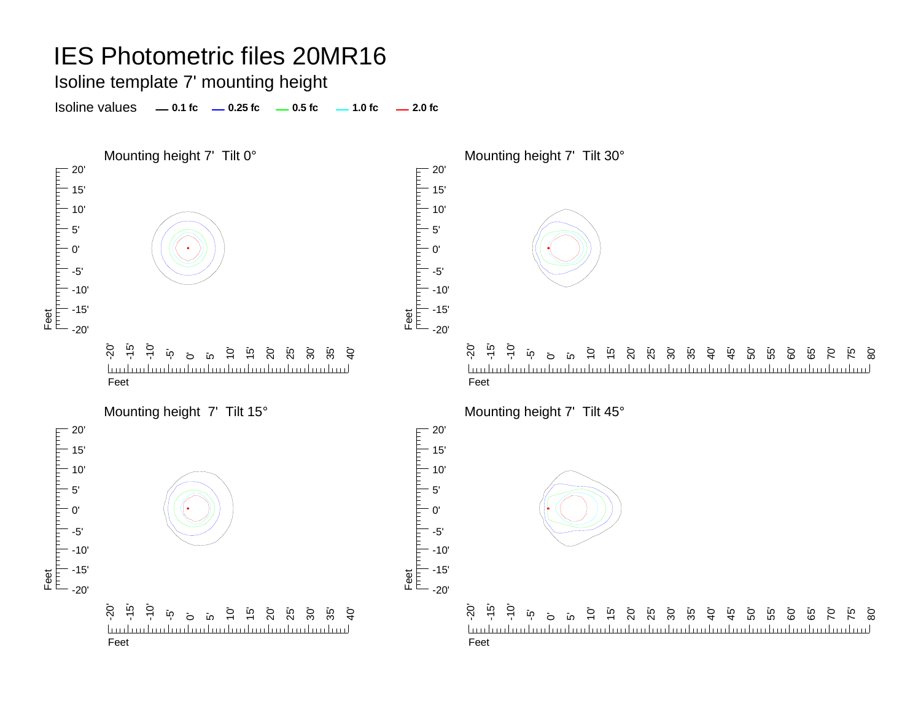Isoline template 7' mounting height

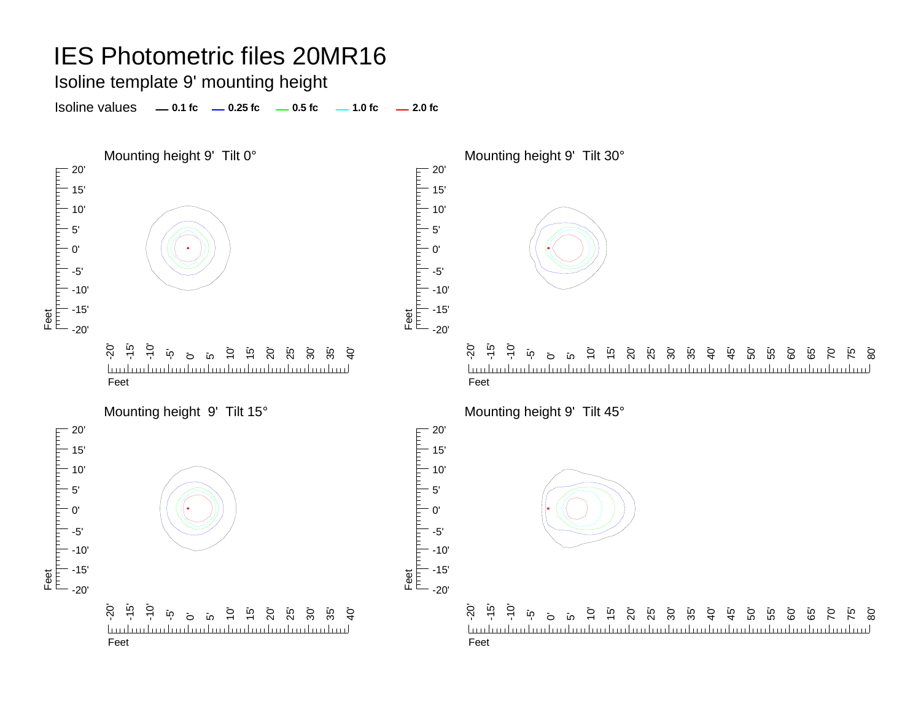Isoline template 9' mounting height

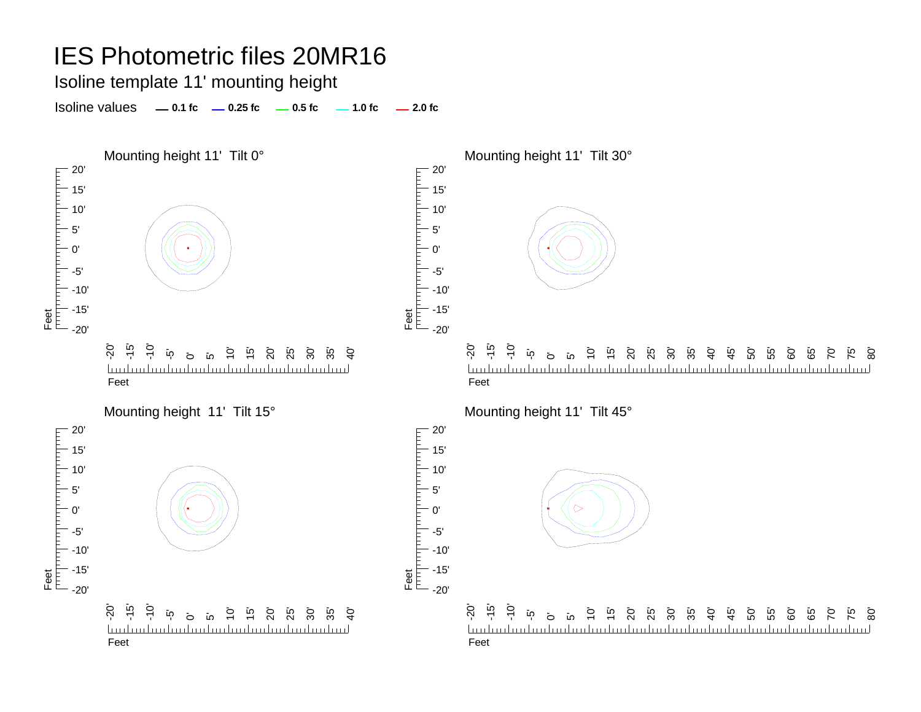Isoline template 11' mounting height

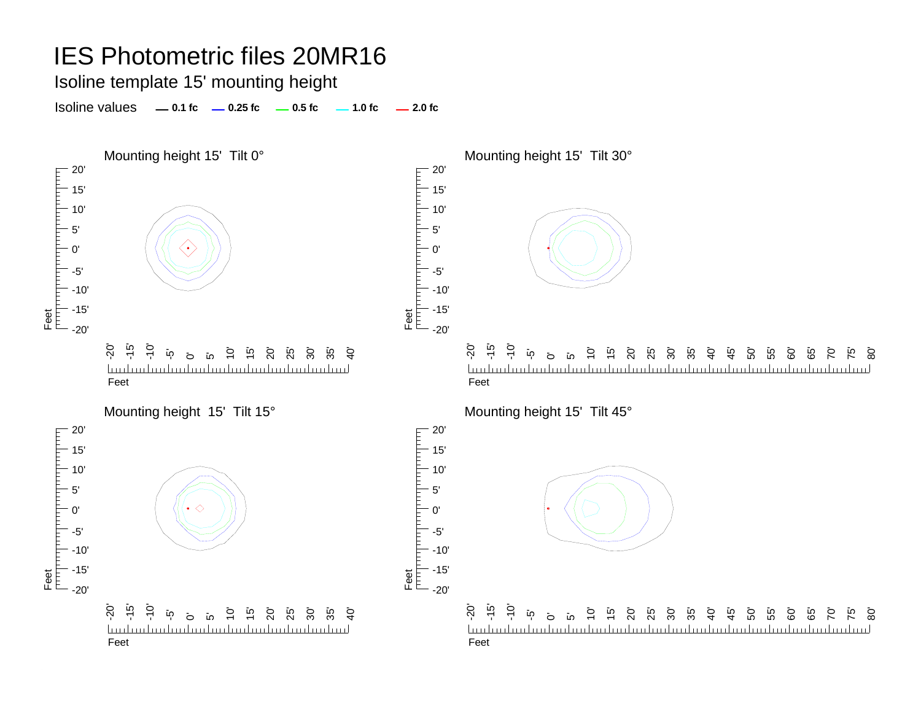Isoline template 15' mounting height

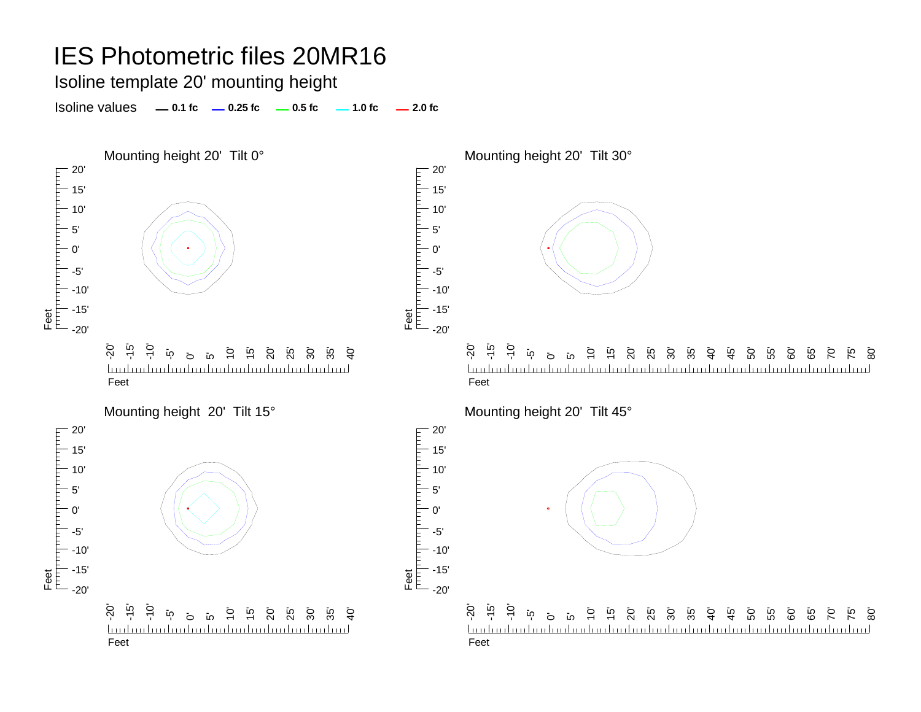Isoline template 20' mounting height

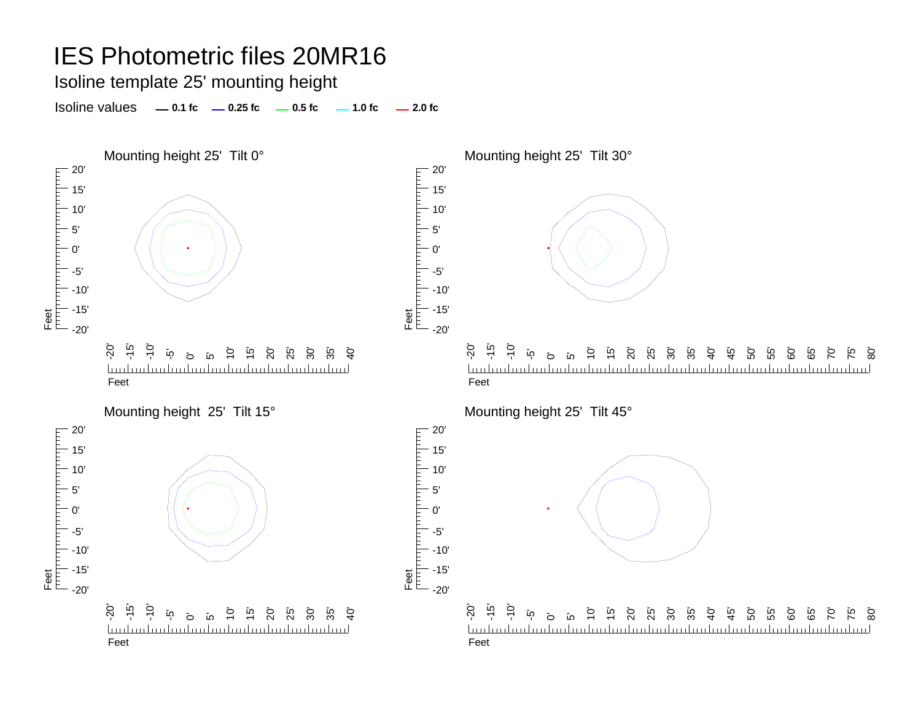Isoline template 25' mounting height

Isoline values **0.1 fc 0.25 fc 0.5 fc 2.0 fc 1.0 fc**



20'